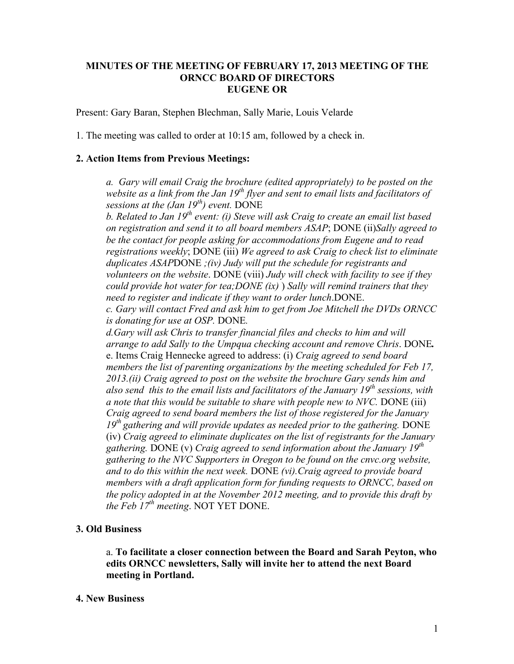## **MINUTES OF THE MEETING OF FEBRUARY 17, 2013 MEETING OF THE ORNCC BOARD OF DIRECTORS EUGENE OR**

Present: Gary Baran, Stephen Blechman, Sally Marie, Louis Velarde

1. The meeting was called to order at 10:15 am, followed by a check in.

## **2. Action Items from Previous Meetings:**

*a. Gary will email Craig the brochure (edited appropriately) to be posted on the website as a link from the Jan 19th flyer and sent to email lists and facilitators of sessions at the (Jan 19th) event.* DONE

*b. Related to Jan 19th event: (i) Steve will ask Craig to create an email list based on registration and send it to all board members ASAP*; DONE (ii)*Sally agreed to be the contact for people asking for accommodations from Eugene and to read registrations weekly*; DONE (iii) *We agreed to ask Craig to check list to eliminate duplicates ASAP*DONE *;(iv) Judy will put the schedule for registrants and volunteers on the website*. DONE (viii) *Judy will check with facility to see if they could provide hot water for tea;DONE (ix)* ) *Sally will remind trainers that they need to register and indicate if they want to order lunch*.DONE.

*c. Gary will contact Fred and ask him to get from Joe Mitchell the DVDs ORNCC is donating for use at OSP.* DONE*.*

*d.Gary will ask Chris to transfer financial files and checks to him and will arrange to add Sally to the Umpqua checking account and remove Chris*. DONE*.* e. Items Craig Hennecke agreed to address: (i) *Craig agreed to send board members the list of parenting organizations by the meeting scheduled for Feb 17, 2013.(ii) Craig agreed to post on the website the brochure Gary sends him and also send this to the email lists and facilitators of the January 19th sessions, with a note that this would be suitable to share with people new to NVC.* DONE (iii) *Craig agreed to send board members the list of those registered for the January 19th gathering and will provide updates as needed prior to the gathering.* DONE (iv) *Craig agreed to eliminate duplicates on the list of registrants for the January gathering.* DONE (v) *Craig agreed to send information about the January 19th gathering to the NVC Supporters in Oregon to be found on the cnvc.org website, and to do this within the next week.* DONE *(vi).Craig agreed to provide board members with a draft application form for funding requests to ORNCC, based on the policy adopted in at the November 2012 meeting, and to provide this draft by the Feb 17th meeting*. NOT YET DONE.

## **3. Old Business**

a. **To facilitate a closer connection between the Board and Sarah Peyton, who edits ORNCC newsletters, Sally will invite her to attend the next Board meeting in Portland.** 

## **4. New Business**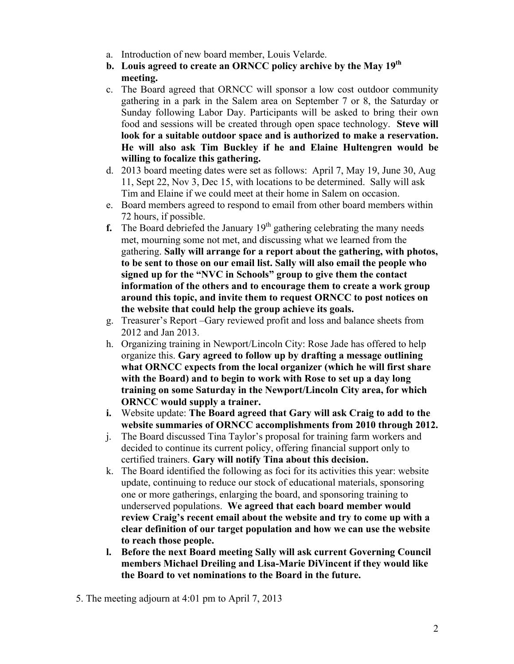- a. Introduction of new board member, Louis Velarde.
- **b. Louis agreed to create an ORNCC policy archive by the May 19th meeting.**
- c. The Board agreed that ORNCC will sponsor a low cost outdoor community gathering in a park in the Salem area on September 7 or 8, the Saturday or Sunday following Labor Day. Participants will be asked to bring their own food and sessions will be created through open space technology. **Steve will look for a suitable outdoor space and is authorized to make a reservation. He will also ask Tim Buckley if he and Elaine Hultengren would be willing to focalize this gathering.**
- d. 2013 board meeting dates were set as follows: April 7, May 19, June 30, Aug 11, Sept 22, Nov 3, Dec 15, with locations to be determined. Sally will ask Tim and Elaine if we could meet at their home in Salem on occasion.
- e. Board members agreed to respond to email from other board members within 72 hours, if possible.
- **f.** The Board debriefed the January  $19<sup>th</sup>$  gathering celebrating the many needs met, mourning some not met, and discussing what we learned from the gathering. **Sally will arrange for a report about the gathering, with photos, to be sent to those on our email list. Sally will also email the people who signed up for the "NVC in Schools" group to give them the contact information of the others and to encourage them to create a work group around this topic, and invite them to request ORNCC to post notices on the website that could help the group achieve its goals.**
- g. Treasurer's Report –Gary reviewed profit and loss and balance sheets from 2012 and Jan 2013.
- h. Organizing training in Newport/Lincoln City: Rose Jade has offered to help organize this. **Gary agreed to follow up by drafting a message outlining what ORNCC expects from the local organizer (which he will first share with the Board) and to begin to work with Rose to set up a day long training on some Saturday in the Newport/Lincoln City area, for which ORNCC would supply a trainer.**
- **i.** Website update: **The Board agreed that Gary will ask Craig to add to the website summaries of ORNCC accomplishments from 2010 through 2012.**
- j. The Board discussed Tina Taylor's proposal for training farm workers and decided to continue its current policy, offering financial support only to certified trainers. **Gary will notify Tina about this decision.**
- k. The Board identified the following as foci for its activities this year: website update, continuing to reduce our stock of educational materials, sponsoring one or more gatherings, enlarging the board, and sponsoring training to underserved populations. **We agreed that each board member would review Craig's recent email about the website and try to come up with a clear definition of our target population and how we can use the website to reach those people.**
- **l. Before the next Board meeting Sally will ask current Governing Council members Michael Dreiling and Lisa-Marie DiVincent if they would like the Board to vet nominations to the Board in the future.**
- 5. The meeting adjourn at 4:01 pm to April 7, 2013